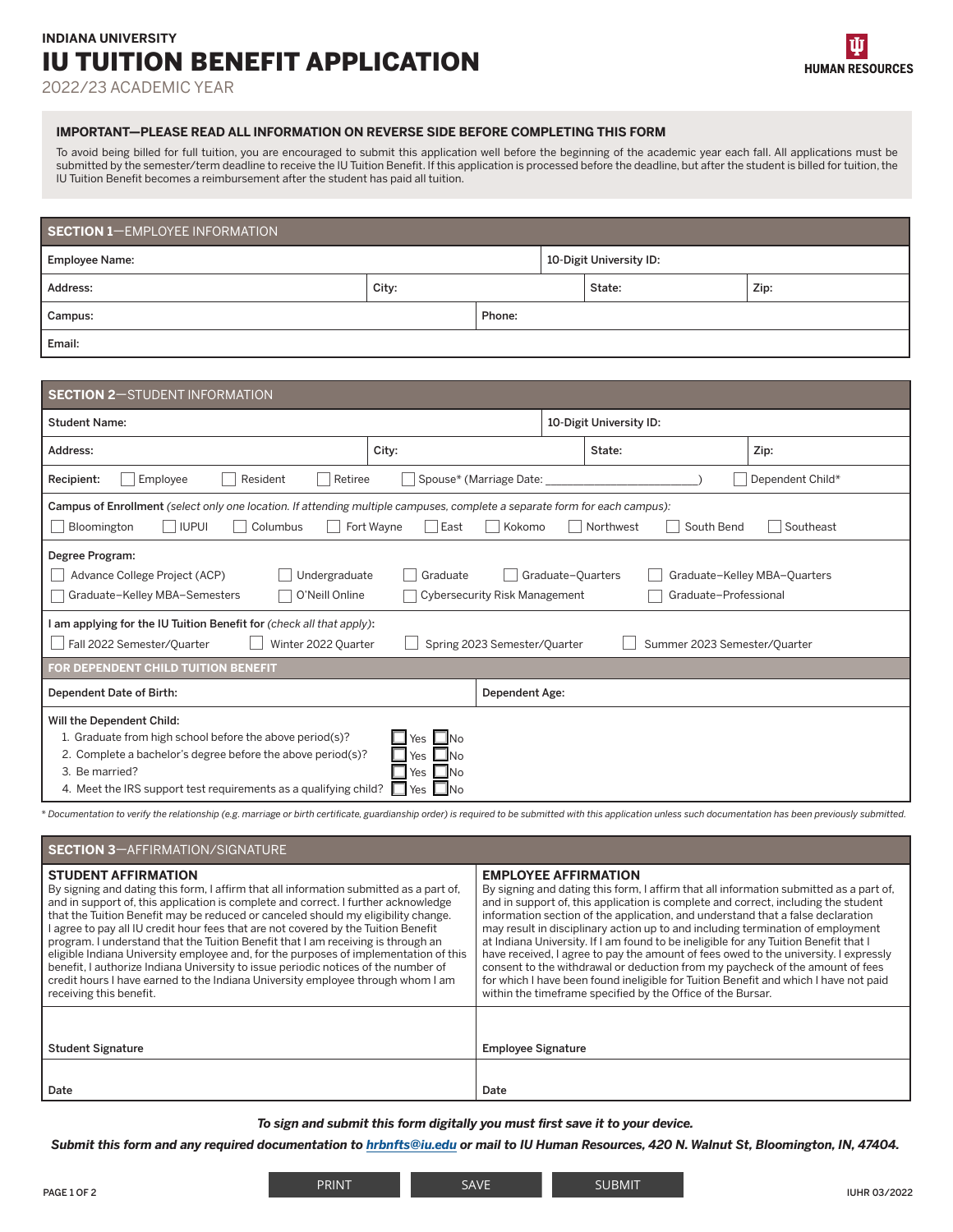# **INDIANA UNIVERSITY** IU TUITION BENEFIT APPLICATION

2022/23 ACADEMIC YEAR

# **IMPORTANT—PLEASE READ ALL INFORMATION ON REVERSE SIDE BEFORE COMPLETING THIS FORM**

To avoid being billed for full tuition, you are encouraged to submit this application well before the beginning of the academic year each fall. All applications must be submitted by the semester/term deadline to receive the IU Tuition Benefit. If this application is processed before the deadline, but after the student is billed for tuition, the IU Tuition Benefit becomes a reimbursement after the student has paid all tuition.

| SECTION 1-EMPLOYEE INFORMATION |       |        |                         |        |      |
|--------------------------------|-------|--------|-------------------------|--------|------|
| <b>Employee Name:</b>          |       |        | 10-Digit University ID: |        |      |
| Address:                       | City: |        |                         | State: | Zip: |
| Campus:                        |       | Phone: |                         |        |      |
| Email:                         |       |        |                         |        |      |

# **SECTION 2**—STUDENT INFORMATION Student Name: 10-Digit University ID: Address: City: State: Zip: Recipient: Employee Resident Retiree Spouse\* (Marriage Date: ) Dependent Child\* Campus of Enrollment *(select only one location. If attending multiple campuses, complete a separate form for each campus):* Bloomington | IUPUI | Columbus | Fort Wayne | East | Kokomo | Northwest | South Bend | Southeast Degree Program: Advance College Project (ACP) Undergraduate Graduate Graduate–Quarters Graduate–Kelley MBA–Quarters Graduate–Kelley MBA–Semesters O'Neill Online Cybersecurity Risk Management Graduate–Professional I am applying for the IU Tuition Benefit for *(check all that apply)*: Fall 2022 Semester/Quarter Minter 2022 Quarter Spring 2023 Semester/Quarter Summer 2023 Semester/Quarter **FOR DEPENDENT CHILD TUITION BENEFIT** Dependent Date of Birth: Dependent Age: Will the Dependent Child: 1. Graduate from high school before the above period(s)? 2. Complete a bachelor's degree before the above period(s)? 3. Be married? 4. Meet the IRS support test requirements as a qualifying child?  $\Box$  Yes  $\Box$  No  $\overline{\Box}$  Yes  $\overline{\Box}$ No  $\square$  Yes  $\square$ No  $\Box$  Yes  $\Box$ No

*\* Documentation to verify the relationship (e.g. marriage or birth certificate, guardianship order) is required to be submitted with this application unless such documentation has been previously submitted.* 

| SECTION 3-AFFIRMATION/SIGNATURE                                                                                                                                                                                                                                                                                                                                                                                                                                                                                                                                                                                                                                                                                                                                       |                                                                                                                                                                                                                                                                                                                                                                                                                                                                                                                                                                                                                                                                                                                                                                                                           |
|-----------------------------------------------------------------------------------------------------------------------------------------------------------------------------------------------------------------------------------------------------------------------------------------------------------------------------------------------------------------------------------------------------------------------------------------------------------------------------------------------------------------------------------------------------------------------------------------------------------------------------------------------------------------------------------------------------------------------------------------------------------------------|-----------------------------------------------------------------------------------------------------------------------------------------------------------------------------------------------------------------------------------------------------------------------------------------------------------------------------------------------------------------------------------------------------------------------------------------------------------------------------------------------------------------------------------------------------------------------------------------------------------------------------------------------------------------------------------------------------------------------------------------------------------------------------------------------------------|
| <b>STUDENT AFFIRMATION</b><br>By signing and dating this form, I affirm that all information submitted as a part of,<br>and in support of, this application is complete and correct. I further acknowledge<br>that the Tuition Benefit may be reduced or canceled should my eligibility change.<br>I agree to pay all IU credit hour fees that are not covered by the Tuition Benefit<br>program. I understand that the Tuition Benefit that I am receiving is through an<br>eligible Indiana University employee and, for the purposes of implementation of this<br>benefit, I authorize Indiana University to issue periodic notices of the number of<br>credit hours I have earned to the Indiana University employee through whom I am<br>receiving this benefit. | <b>EMPLOYEE AFFIRMATION</b><br>By signing and dating this form, I affirm that all information submitted as a part of.<br>and in support of, this application is complete and correct, including the student<br>information section of the application, and understand that a false declaration<br>may result in disciplinary action up to and including termination of employment<br>at Indiana University. If I am found to be ineligible for any Tuition Benefit that I<br>have received, I agree to pay the amount of fees owed to the university. I expressly<br>consent to the withdrawal or deduction from my paycheck of the amount of fees<br>for which I have been found ineligible for Tuition Benefit and which I have not paid<br>within the timeframe specified by the Office of the Bursar. |
| <b>Student Signature</b>                                                                                                                                                                                                                                                                                                                                                                                                                                                                                                                                                                                                                                                                                                                                              | <b>Employee Signature</b>                                                                                                                                                                                                                                                                                                                                                                                                                                                                                                                                                                                                                                                                                                                                                                                 |
| Date                                                                                                                                                                                                                                                                                                                                                                                                                                                                                                                                                                                                                                                                                                                                                                  | Date                                                                                                                                                                                                                                                                                                                                                                                                                                                                                                                                                                                                                                                                                                                                                                                                      |

*To sign and submit this form digitally you must first save it to your device.* 

*Submit this form and any required documentation to hrbnfts@iu.edu or mail to IU Human Resources, 420 N. Walnut St, Bloomington, IN, 47404.*